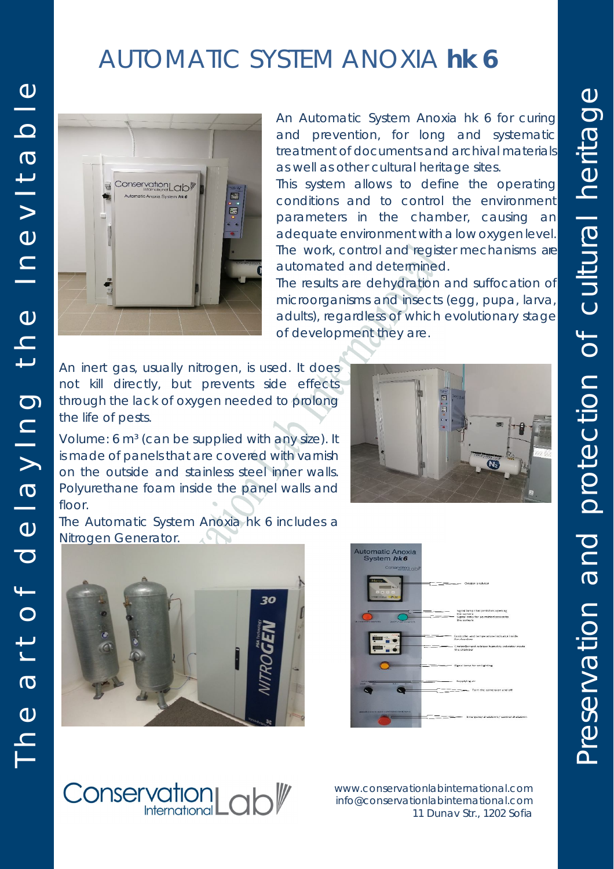## AUTOMATIC SYSTEM ANOXIA *hk 6*



An Automatic System Anoxia *hk 6* for curing and prevention, for long and systematic treatment of documents and archival materials as well as other cultural heritage sites.

This system allows to define the operating conditions and to control the environment parameters in the chamber, causing an adequate environment with alow oxygen level. The work, control and register mechanisms are automated and determined.

The results are dehydration and suffocation of microorganisms and insects (egg, pupa, larva, adults), regardless of which evolutionary stage of development they are.

An inert gas, usually nitrogen, is used. It does not kill directly, but prevents side effects through the lack of oxygen needed to prolong the life of pests.

Volume: 6 m<sup>3</sup> (can be supplied with any size). It is made of panels that are covered with varnish on the outside and stainless steel inner walls. Polyurethane foam inside the panel walls and floor.

The Automatic System Anoxia *hk 6* includes a  $\lambda$ Nitrogen Generator.



**Conservation**La



www.conservationlabinternational.com info@conservationlabinternational.com 11 Dunav Str., 1202 Sofia



Preservation and protection of cultural heritage

Preservation and protection of cultural heritage